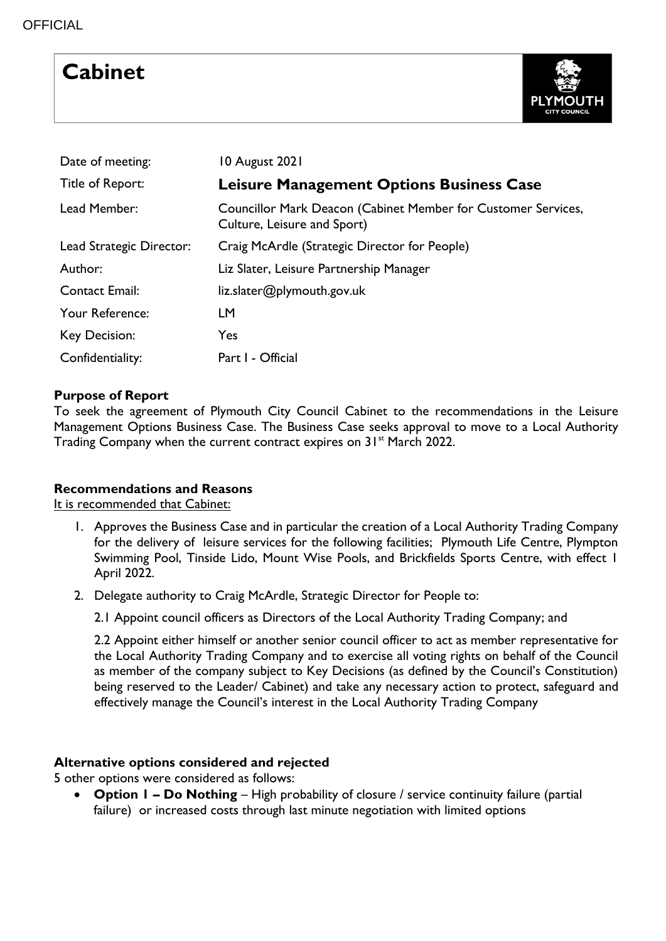# **Cabinet**



| Date of meeting:         | 10 August 2021                                                                               |
|--------------------------|----------------------------------------------------------------------------------------------|
| Title of Report:         | Leisure Management Options Business Case                                                     |
| Lead Member:             | Councillor Mark Deacon (Cabinet Member for Customer Services,<br>Culture, Leisure and Sport) |
| Lead Strategic Director: | Craig McArdle (Strategic Director for People)                                                |
| Author:                  | Liz Slater, Leisure Partnership Manager                                                      |
| <b>Contact Email:</b>    | liz.slater@plymouth.gov.uk                                                                   |
| Your Reference:          | <b>LM</b>                                                                                    |
| Key Decision:            | Yes                                                                                          |
| Confidentiality:         | Part I - Official                                                                            |

# **Purpose of Report**

To seek the agreement of Plymouth City Council Cabinet to the recommendations in the Leisure Management Options Business Case. The Business Case seeks approval to move to a Local Authority Trading Company when the current contract expires on 31<sup>st</sup> March 2022.

# **Recommendations and Reasons**

It is recommended that Cabinet:

- 1. Approves the Business Case and in particular the creation of a Local Authority Trading Company for the delivery of leisure services for the following facilities; Plymouth Life Centre, Plympton Swimming Pool, Tinside Lido, Mount Wise Pools, and Brickfields Sports Centre, with effect 1 April 2022.
- 2. Delegate authority to Craig McArdle, Strategic Director for People to:

2.1 Appoint council officers as Directors of the Local Authority Trading Company; and

2.2 Appoint either himself or another senior council officer to act as member representative for the Local Authority Trading Company and to exercise all voting rights on behalf of the Council as member of the company subject to Key Decisions (as defined by the Council's Constitution) being reserved to the Leader/ Cabinet) and take any necessary action to protect, safeguard and effectively manage the Council's interest in the Local Authority Trading Company

# **Alternative options considered and rejected**

5 other options were considered as follows:

 **Option 1 – Do Nothing** – High probability of closure / service continuity failure (partial failure) or increased costs through last minute negotiation with limited options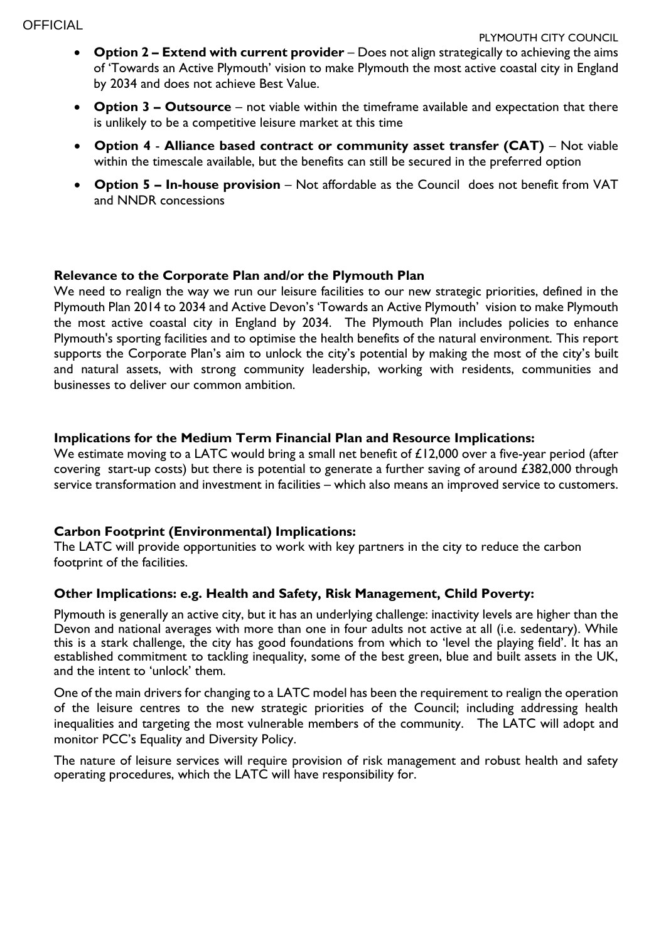- **Option 2 – Extend with current provider** Does not align strategically to achieving the aims of 'Towards an Active Plymouth' vision to make Plymouth the most active coastal city in England by 2034 and does not achieve Best Value.
- **Option 3 – Outsource** not viable within the timeframe available and expectation that there is unlikely to be a competitive leisure market at this time
- **Option 4 Alliance based contract or community asset transfer (CAT)** Not viable within the timescale available, but the benefits can still be secured in the preferred option
- **Option 5 – In-house provision** Not affordable as the Council does not benefit from VAT and NNDR concessions

## **Relevance to the Corporate Plan and/or the Plymouth Plan**

We need to realign the way we run our leisure facilities to our new strategic priorities, defined in the Plymouth Plan 2014 to 2034 and Active Devon's 'Towards an Active Plymouth' vision to make Plymouth the most active coastal city in England by 2034. The Plymouth Plan includes policies to enhance Plymouth's sporting facilities and to optimise the health benefits of the natural environment. This report supports the Corporate Plan's aim to unlock the city's potential by making the most of the city's built and natural assets, with strong community leadership, working with residents, communities and businesses to deliver our common ambition.

## **Implications for the Medium Term Financial Plan and Resource Implications:**

We estimate moving to a LATC would bring a small net benefit of £12,000 over a five-year period (after covering start-up costs) but there is potential to generate a further saving of around £382,000 through service transformation and investment in facilities – which also means an improved service to customers.

#### **Carbon Footprint (Environmental) Implications:**

The LATC will provide opportunities to work with key partners in the city to reduce the carbon footprint of the facilities.

#### **Other Implications: e.g. Health and Safety, Risk Management, Child Poverty:**

Plymouth is generally an active city, but it has an underlying challenge: inactivity levels are higher than the Devon and national averages with more than one in four adults not active at all (i.e. sedentary). While this is a stark challenge, the city has good foundations from which to 'level the playing field'. It has an established commitment to tackling inequality, some of the best green, blue and built assets in the UK, and the intent to 'unlock' them.

One of the main drivers for changing to a LATC model has been the requirement to realign the operation of the leisure centres to the new strategic priorities of the Council; including addressing health inequalities and targeting the most vulnerable members of the community. The LATC will adopt and monitor PCC's Equality and Diversity Policy.

The nature of leisure services will require provision of risk management and robust health and safety operating procedures, which the LATC will have responsibility for.